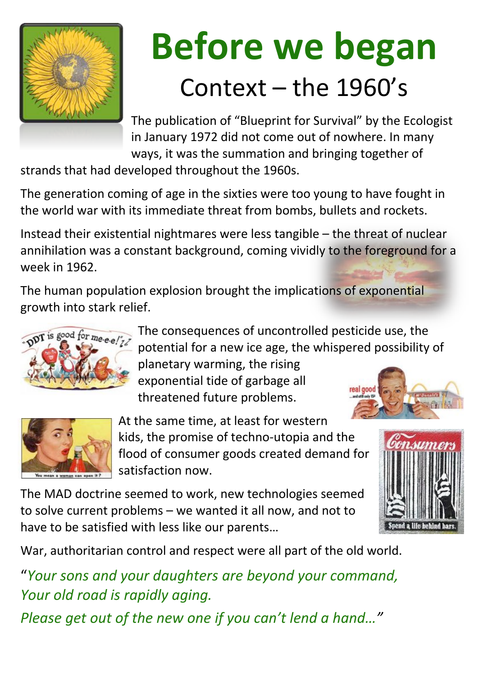

# **Before we began** Context – the 1960's

The publication of "Blueprint for Survival" by the Ecologist in January 1972 did not come out of nowhere. In many ways, it was the summation and bringing together of

strands that had developed throughout the 1960s.

The generation coming of age in the sixties were too young to have fought in the world war with its immediate threat from bombs, bullets and rockets.

The human population explosion brought the implications of exponential growth into stark relief.

> The consequences of uncontrolled pesticide use, the potential for a new ice age, the whispered possibility of planetary warming, the rising exponential tide of garbage all real good threatened future problems. and still only 15<sup>c</sup>





Instead their existential nightmares were less tangible – the threat of nuclear annihilation was a constant background, coming vividly to the foreground for a week in 1962.

> At the same time, at least for western kids, the promise of techno-utopia and the flood of consumer goods created demand for satisfaction now.

The MAD doctrine seemed to work, new technologies seemed to solve current problems – we wanted it all now, and not to have to be satisfied with less like our parents…





War, authoritarian control and respect were all part of the old world.

"*Your sons and your daughters are beyond your command, Your old road is rapidly aging.* 

*Please get out of the new one if you can't lend a hand…"*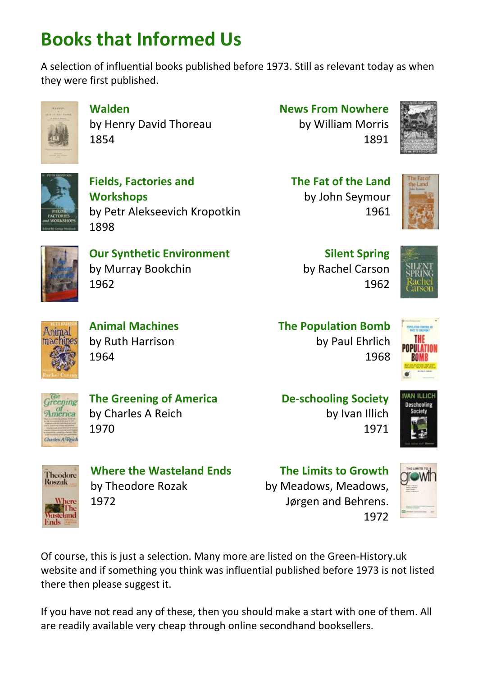## **Books that Informed Us**

A selection of influential books published before 1973. Still as relevant today as when they were first published.



**Walden**  by Henry David Thoreau 1854

### **News From Nowhere**

by William Morris 1891





**Fields, Factories and Workshops**  by Petr Alekseevich Kropotkin 1898

### **The Fat of the Land**  by John Seymour 1961





**Our Synthetic Environment**  by Murray Bookchin 1962

**Silent Spring**  by Rachel Carson 1962





**Animal Machines**  by Ruth Harrison 1964

**The Population Bomb**  by Paul Ehrlich 1968





**The Greening of America**  by Charles A Reich 1970

### **De-schooling Society**



by Ivan Illich 1971



**Where the Wasteland Ends** 

by Theodore Rozak

1972











Of course, this is just a selection. Many more are listed on the Green-History.uk website and if something you think was influential published before 1973 is not listed there then please suggest it.

If you have not read any of these, then you should make a start with one of them. All are readily available very cheap through online secondhand booksellers.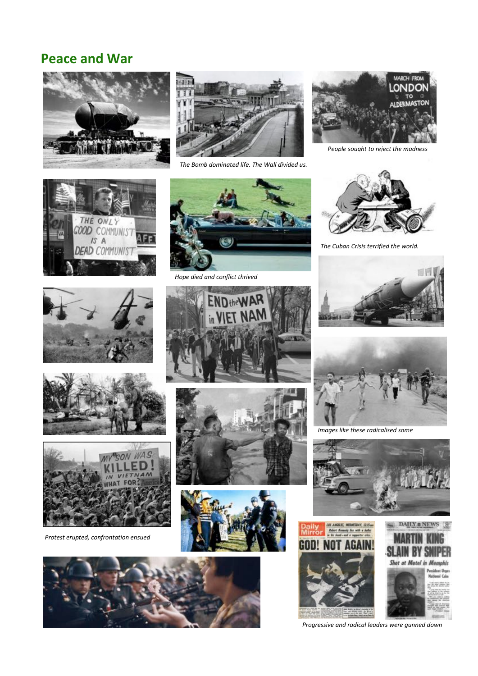### **Peace and War**





*The Bomb dominated life. The Wall divided us.*



*People sought to reject the madness*





*The Cuban Crisis terrified the world.*





*Hope died and conflict thrived*



*Images like these radicalised some*















GO

*Protest erupted, confrontation ensued*



*Progressive and radical leaders were gunned down*